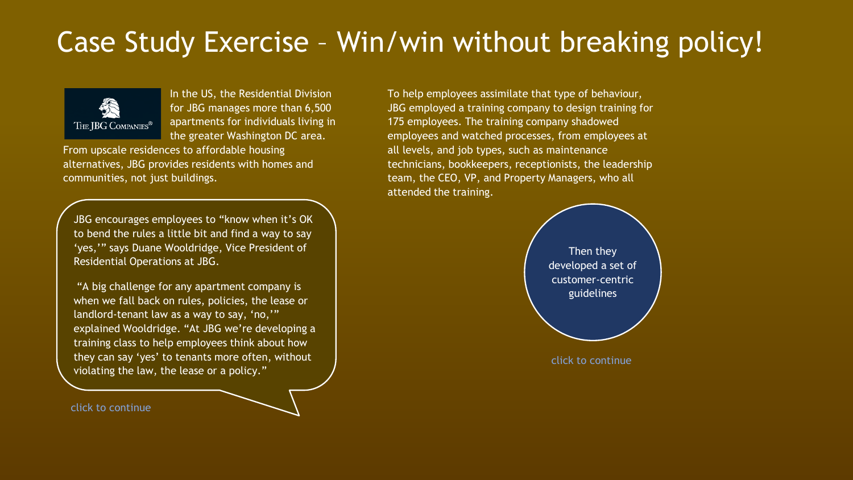

In the US, the Residential Division for JBG manages more than 6,500 apartments for individuals living in the greater Washington DC area.

From upscale residences to affordable housing alternatives, JBG provides residents with homes and communities, not just buildings.

JBG encourages employees to "know when it's OK to bend the rules a little bit and find a way to say 'yes,'" says Duane Wooldridge, Vice President of Residential Operations at JBG.

"A big challenge for any apartment company is when we fall back on rules, policies, the lease or landlord-tenant law as a way to say, 'no,'" explained Wooldridge. "At JBG we're developing a training class to help employees think about how they can say 'yes' to tenants more often, without violating the law, the lease or a policy."

To help employees assimilate that type of behaviour, JBG employed a training company to design training for 175 employees. The training company shadowed employees and watched processes, from employees at all levels, and job types, such as maintenance technicians, bookkeepers, receptionists, the leadership team, the CEO, VP, and Property Managers, who all attended the training.

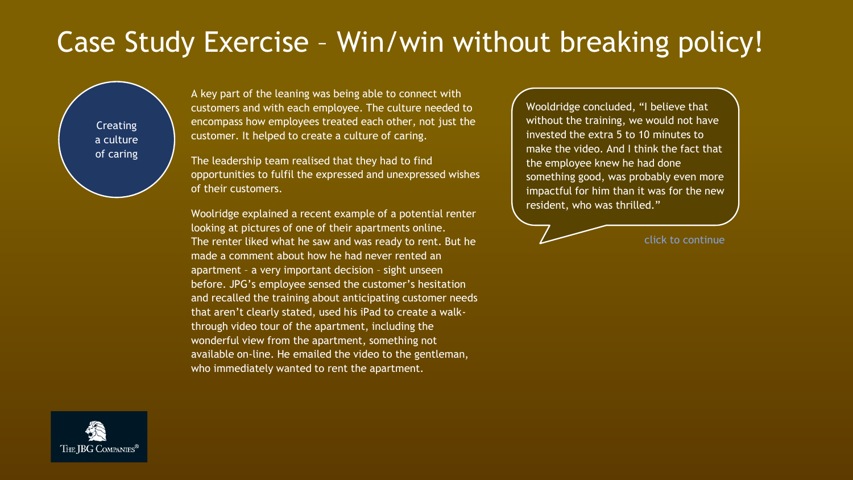Creating a culture of caring A key part of the leaning was being able to connect with customers and with each employee. The culture needed to encompass how employees treated each other, not just the customer. It helped to create a culture of caring.

The leadership team realised that they had to find opportunities to fulfil the expressed and unexpressed wishes of their customers.

Woolridge explained a recent example of a potential renter looking at pictures of one of their apartments online. The renter liked what he saw and was ready to rent. But he made a comment about how he had never rented an apartment – a very important decision – sight unseen before. JPG's employee sensed the customer's hesitation and recalled the training about anticipating customer needs that aren't clearly stated, used his iPad to create a walkthrough video tour of the apartment, including the wonderful view from the apartment, something not available on-line. He emailed the video to the gentleman, who immediately wanted to rent the apartment.

Wooldridge concluded, "I believe that without the training, we would not have invested the extra 5 to 10 minutes to make the video. And I think the fact that the employee knew he had done something good, was probably even more impactful for him than it was for the new resident, who was thrilled."

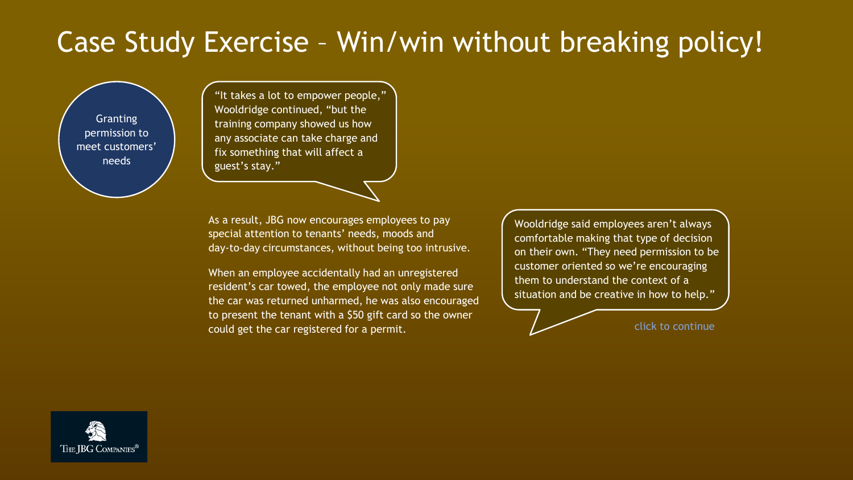Granting permission to meet customers' needs

"It takes a lot to empower people," Wooldridge continued, "but the training company showed us how any associate can take charge and fix something that will affect a guest's stay."

As a result, JBG now encourages employees to pay special attention to tenants' needs, moods and day-to-day circumstances, without being too intrusive.

When an employee accidentally had an unregistered resident's car towed, the employee not only made sure the car was returned unharmed, he was also encouraged to present the tenant with a \$50 gift card so the owner could get the car registered for a permit.

Wooldridge said employees aren't always comfortable making that type of decision on their own. "They need permission to be customer oriented so we're encouraging them to understand the context of a situation and be creative in how to help."

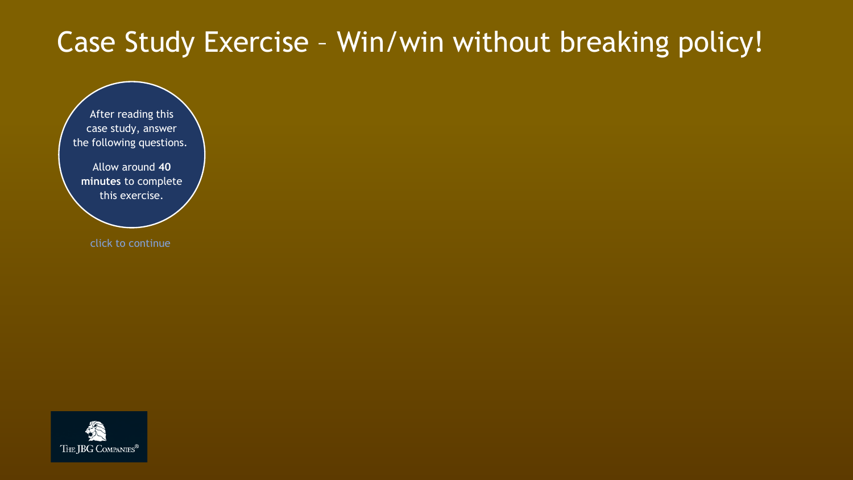After reading this case study, answer the following questions.

Allow around **40 minutes** to complete this exercise.

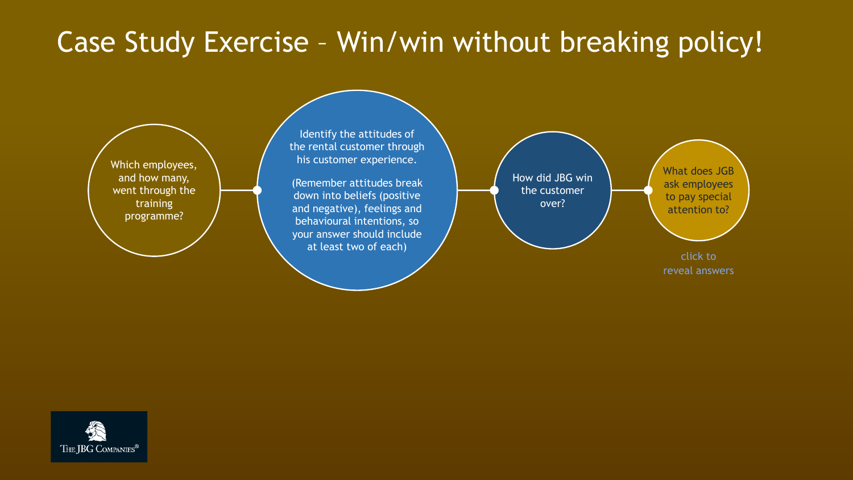Which employees, and how many, went through the training programme?

Identify the attitudes of the rental customer through his customer experience.

(Remember attitudes break down into beliefs (positive and negative), feelings and behavioural intentions, so your answer should include at least two of each)

How did JBG win the customer over?

click to What does JGB ask employees to pay special attention to?

reveal answers

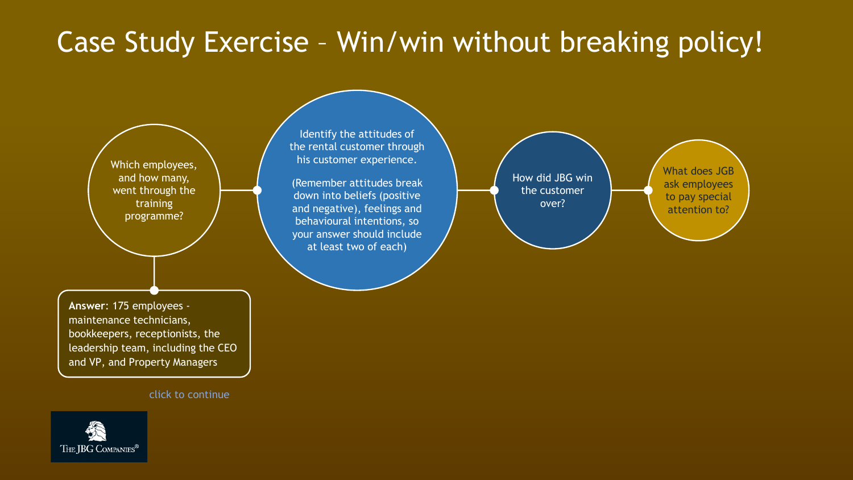Which employees, and how many, went through the training programme?

Identify the attitudes of the rental customer through his customer experience.

(Remember attitudes break down into beliefs (positive and negative), feelings and behavioural intentions, so your answer should include at least two of each)

How did JBG win the customer over?

What does JGB ask employees to pay special attention to?

**Answer**: 175 employees maintenance technicians, bookkeepers, receptionists, the leadership team, including the CEO and VP, and Property Managers

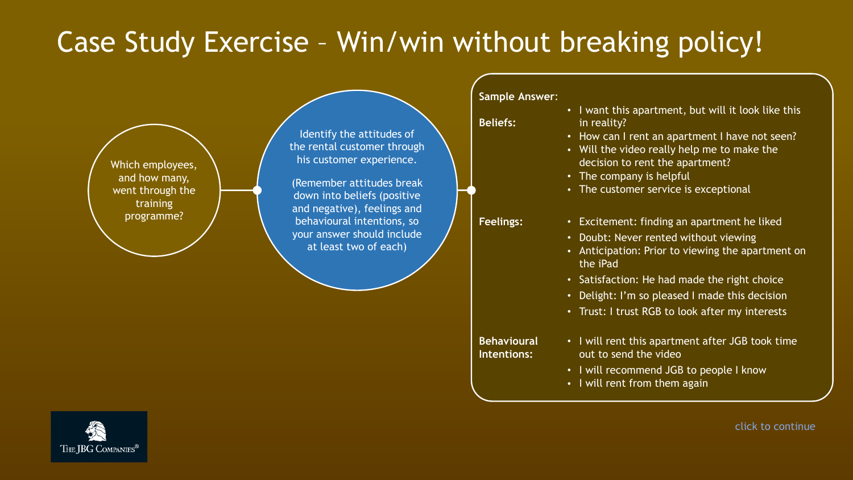Which employees, and how many, went through the training programme?

Identify the attitudes of the rental customer through his customer experience.

(Remember attitudes break down into beliefs (positive and negative), feelings and behavioural intentions, so your answer should include at least two of each)

**Sample Answer**:

#### **Beliefs:**

• Will the video really help me to make the decision to rent the apartment?

• I want this apartment, but will it look like this

• How can I rent an apartment I have not seen?

and the company is helpful

in reality?

- appius<br>dicolis ovcontio **the customer service is exceptional** <br>the customer service is exceptional
- **Feelings:** Excitement: finding an apartment he liked
	- Doubt: Never rented without viewing
	- Anticipation: Prior to viewing the apartment on the iPad
	- Satisfaction: He had made the right choice
	- Delight: I'm so pleased I made this decision
	- Trust: I trust RGB to look after my interests

#### **Behavioural Intentions:**

- I will rent this apartment after JGB took time out to send the video
- I will recommend JGB to people I know
- I will rent from them again

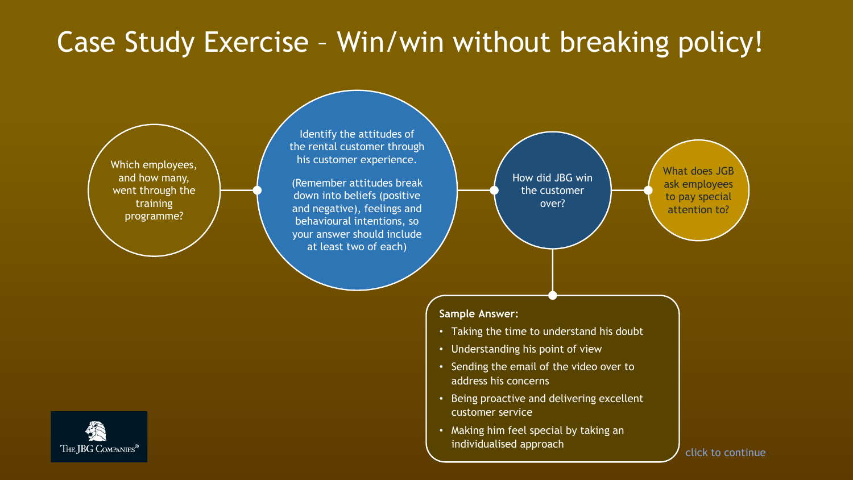Which employees, and how many, went through the training programme?

Identify the attitudes of the rental customer through his customer experience.

(Remember attitudes break down into beliefs (positive and negative), feelings and behavioural intentions, so your answer should include at least two of each)

How did JBG win the customer over?

What does JGB ask employees to pay special attention to?

#### **Sample Answer:**

- Taking the time to understand his doubt
- Understanding his point of view
- Sending the email of the video over to address his concerns
- Being proactive and delivering excellent customer service
- Making him feel special by taking an individualised approach

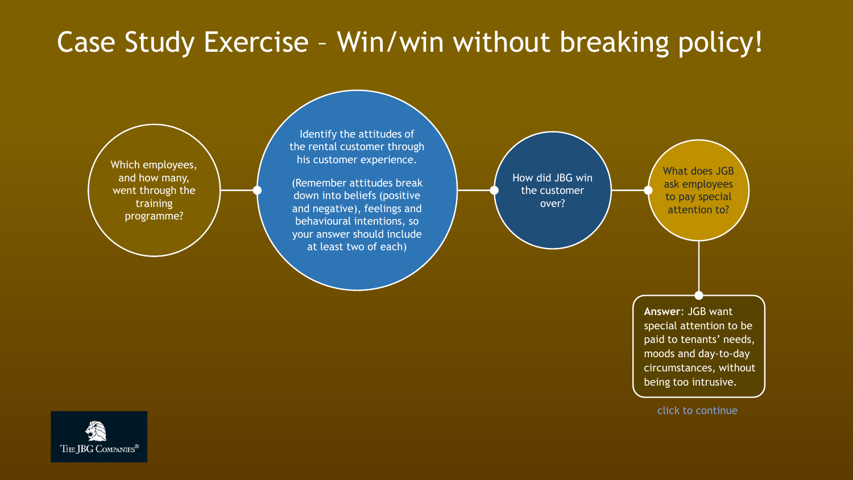Which employees, and how many, went through the training programme?

Identify the attitudes of the rental customer through his customer experience.

(Remember attitudes break down into beliefs (positive and negative), feelings and behavioural intentions, so your answer should include at least two of each)

How did JBG win the customer over?

What does JGB ask employees to pay special attention to?

**Answer**: JGB want special attention to be paid to tenants' needs, moods and day-to-day circumstances, without being too intrusive.

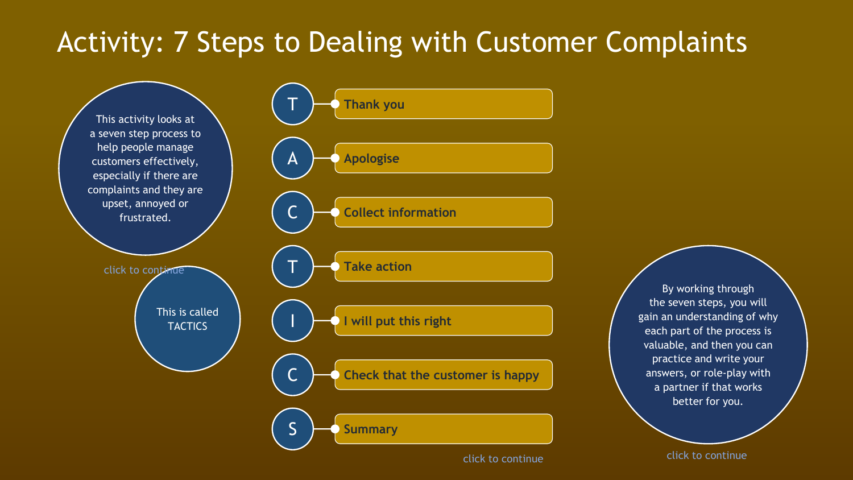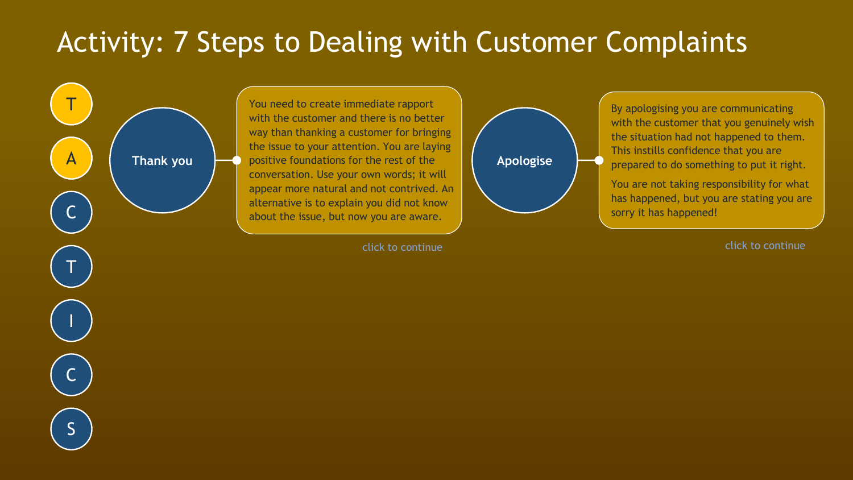You need to create immediate rapport with the customer and there is no better way than thanking a customer for bringing the issue to your attention. You are laying positive foundations for the rest of the conversation. Use your own words; it will appear more natural and not contrived. An alternative is to explain you did not know about the issue, but now you are aware.



By apologising you are communicating with the customer that you genuinely wish the situation had not happened to them. This instills confidence that you are prepared to do something to put it right.

You are not taking responsibility for what has happened, but you are stating you are sorry it has happened!

click to continue click to continue

T

A

**Thank you**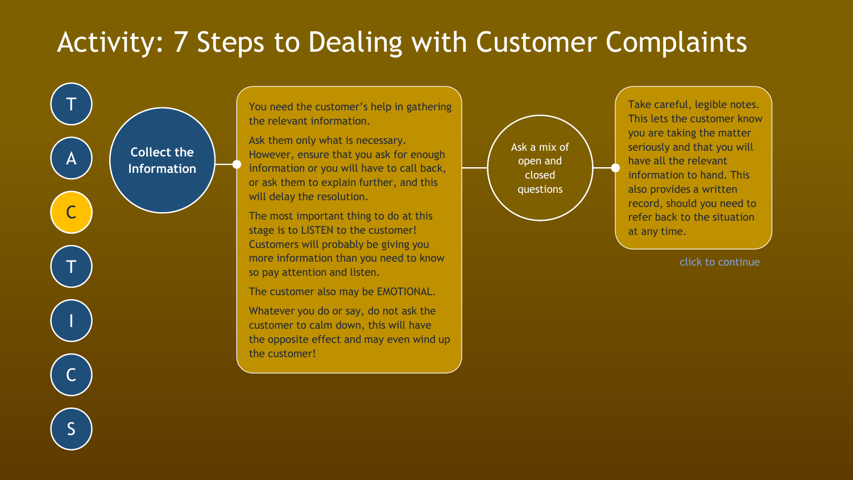**Collect the Information**

O

A

C

T

I

C

S

You need the customer's help in gathering the relevant information.

Ask them only what is necessary. However, ensure that you ask for enough information or you will have to call back, or ask them to explain further, and this will delay the resolution.

The most important thing to do at this stage is to LISTEN to the customer! Customers will probably be giving you more information than you need to know so pay attention and listen.

The customer also may be EMOTIONAL.

Whatever you do or say, do not ask the customer to calm down, this will have the opposite effect and may even wind up the customer!

Ask a mix of open and closed questions

Take careful, legible notes. This lets the customer know you are taking the matter seriously and that you will have all the relevant information to hand. This also provides a written record, should you need to refer back to the situation at any time.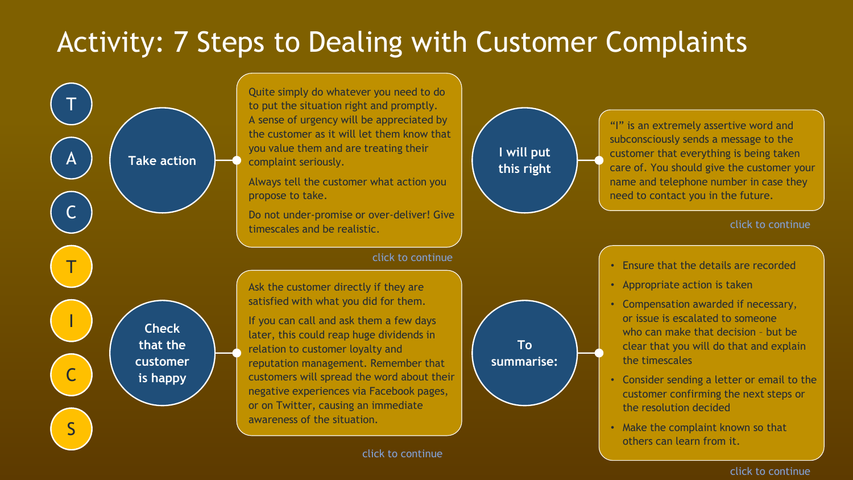$\bullet$ A C T I C S **Check that the customer is happy**

Quite simply do whatever you need to do to put the situation right and promptly. A sense of urgency will be appreciated by the customer as it will let them know that **Take action** and them and are treating their **I will put I will put Take action** complaint seriously.

> Always tell the customer what action you propose to take.

Do not under-promise or over-deliver! Give timescales and be realistic.

#### click to continue

Ask the customer directly if they are satisfied with what you did for them.

If you can call and ask them a few days later, this could reap huge dividends in relation to customer loyalty and reputation management. Remember that customers will spread the word about their negative experiences via Facebook pages, or on Twitter, causing an immediate awareness of the situation.

#### click to continue



**To summarise:** "I" is an extremely assertive word and subconsciously sends a message to the customer that everything is being taken care of. You should give the customer your name and telephone number in case they need to contact you in the future.

#### click to continue

- Ensure that the details are recorded
- Appropriate action is taken
- Compensation awarded if necessary, or issue is escalated to someone who can make that decision – but be clear that you will do that and explain the timescales
- Consider sending a letter or email to the customer confirming the next steps or the resolution decided
- Make the complaint known so that others can learn from it.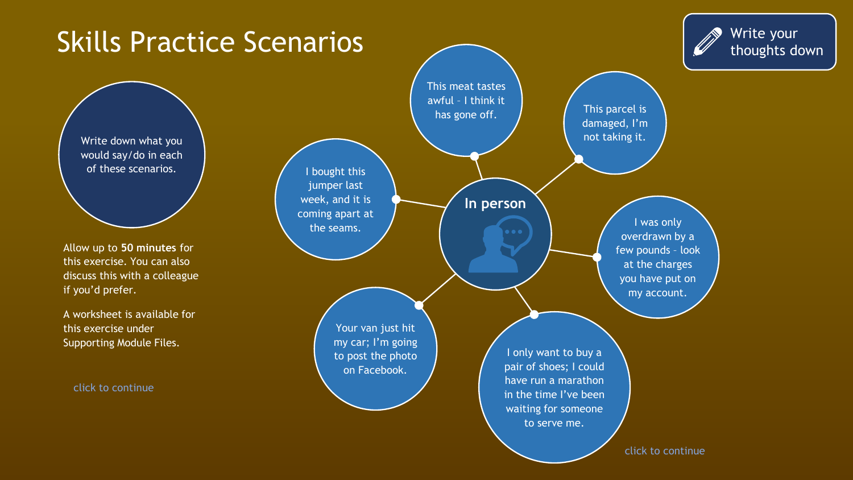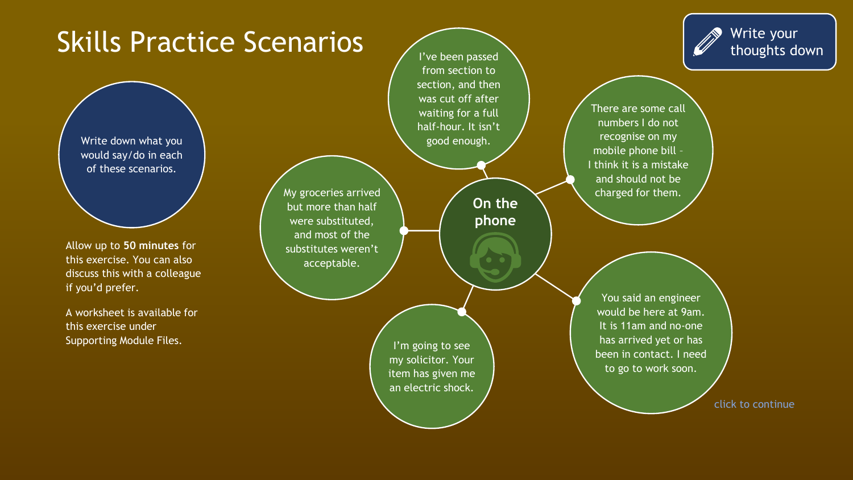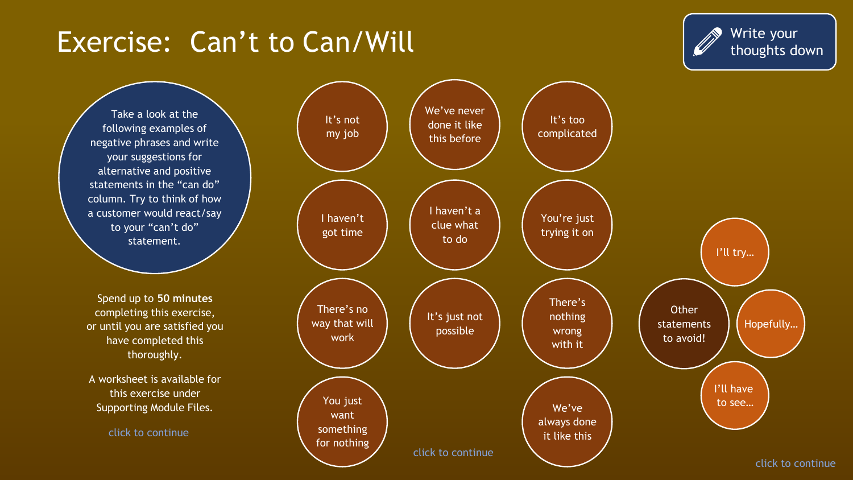#### Exercise: Can't to Can/Will

![](_page_15_Picture_1.jpeg)

Take a look at the following examples of negative phrases and write your suggestions for alternative and positive statements in the "can do" column. Try to think of how a customer would react/say to your "can't do" statement.

Spend up to **50 minutes** completing this exercise, or until you are satisfied you have completed this thoroughly.

A worksheet is available for this exercise under Supporting Module Files.

![](_page_15_Figure_6.jpeg)